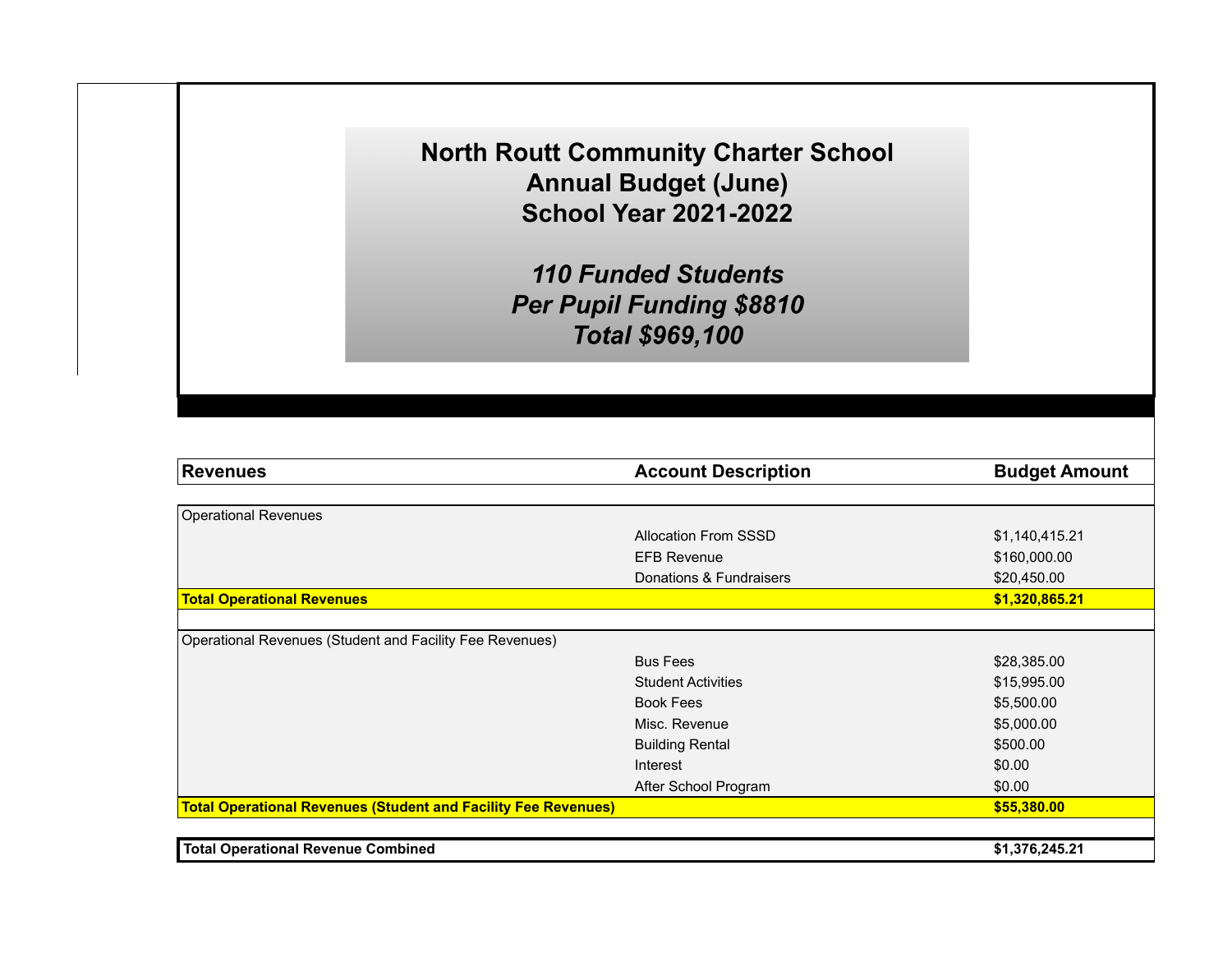**North Routt Community Charter School Annual Budget (June) School Year 2021-2022** 

> **110 Funded Students** Per Pupil Funding \$8810 **Total \$969,100**

| <b>Revenues</b>                                                       | <b>Account Description</b>  | <b>Budget Amount</b> |
|-----------------------------------------------------------------------|-----------------------------|----------------------|
|                                                                       |                             |                      |
| <b>Operational Revenues</b>                                           |                             |                      |
|                                                                       | <b>Allocation From SSSD</b> | \$1,140,415.21       |
|                                                                       | <b>EFB Revenue</b>          | \$160,000.00         |
|                                                                       | Donations & Fundraisers     | \$20,450.00          |
| <b>Total Operational Revenues</b>                                     |                             | \$1,320,865.21       |
|                                                                       |                             |                      |
| Operational Revenues (Student and Facility Fee Revenues)              |                             |                      |
|                                                                       | <b>Bus Fees</b>             | \$28,385.00          |
|                                                                       | <b>Student Activities</b>   | \$15,995.00          |
|                                                                       | <b>Book Fees</b>            | \$5,500.00           |
|                                                                       | Misc. Revenue               | \$5,000.00           |
|                                                                       | <b>Building Rental</b>      | \$500.00             |
|                                                                       | Interest                    | \$0.00               |
|                                                                       | After School Program        | \$0.00               |
| <b>Total Operational Revenues (Student and Facility Fee Revenues)</b> |                             | \$55,380.00          |
|                                                                       |                             |                      |
| <b>Total Operational Revenue Combined</b>                             |                             | \$1,376,245.21       |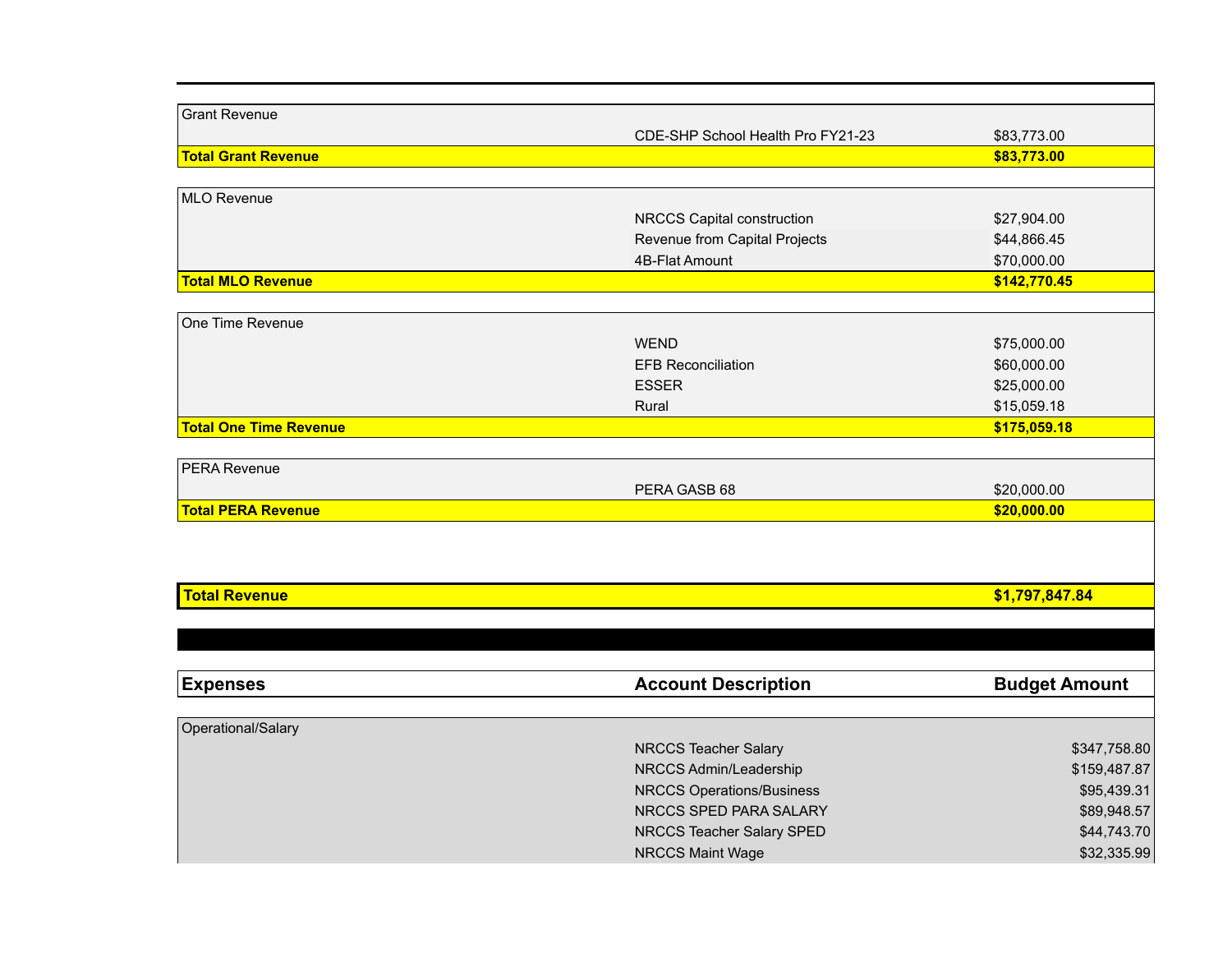| <b>Total Revenue</b>          |                                   | \$1,797,847.84 |
|-------------------------------|-----------------------------------|----------------|
|                               |                                   |                |
|                               |                                   |                |
| <b>Total PERA Revenue</b>     |                                   | \$20,000.00    |
|                               | PERA GASB 68                      | \$20,000.00    |
| <b>PERA Revenue</b>           |                                   |                |
| <b>Total One Time Revenue</b> |                                   | \$175,059.18   |
|                               | Rural                             | \$15,059.18    |
|                               | <b>ESSER</b>                      | \$25,000.00    |
|                               | <b>EFB Reconciliation</b>         | \$60,000.00    |
|                               | <b>WEND</b>                       | \$75,000.00    |
| One Time Revenue              |                                   |                |
|                               |                                   |                |
| <b>Total MLO Revenue</b>      |                                   | \$142,770.45   |
|                               | 4B-Flat Amount                    | \$70,000.00    |
|                               | Revenue from Capital Projects     | \$44,866.45    |
|                               | NRCCS Capital construction        | \$27,904.00    |
| MLO Revenue                   |                                   |                |
| <b>Total Grant Revenue</b>    |                                   | \$83,773.00    |
|                               | CDE-SHP School Health Pro FY21-23 | \$83,773.00    |
| <b>Grant Revenue</b>          |                                   |                |

| <b>Expenses</b>    | <b>Account Description</b>       | <b>Budget Amount</b> |
|--------------------|----------------------------------|----------------------|
|                    |                                  |                      |
| Operational/Salary |                                  |                      |
|                    | NRCCS Teacher Salary             | \$347,758.80         |
|                    | NRCCS Admin/Leadership           | \$159,487.87         |
|                    | <b>NRCCS Operations/Business</b> | \$95,439.31          |
|                    | NRCCS SPED PARA SALARY           | \$89,948.57          |
|                    | NRCCS Teacher Salary SPED        | \$44,743.70          |
|                    | <b>NRCCS Maint Wage</b>          | \$32,335.99          |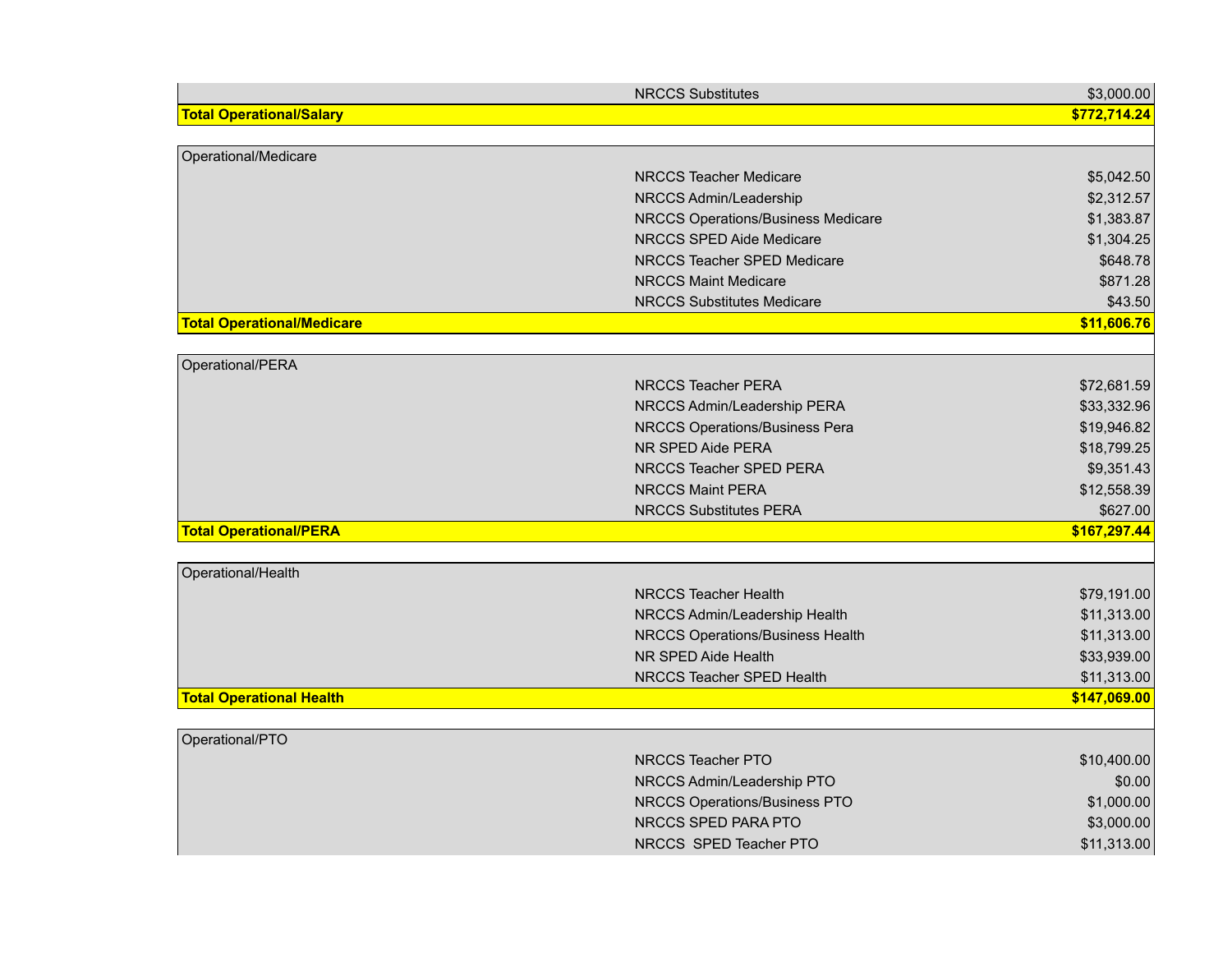|                                   | <b>NRCCS Substitutes</b>                             | \$3,000.00   |
|-----------------------------------|------------------------------------------------------|--------------|
| <b>Total Operational/Salary</b>   |                                                      | \$772,714.24 |
|                                   |                                                      |              |
| Operational/Medicare              |                                                      |              |
|                                   | <b>NRCCS Teacher Medicare</b>                        | \$5,042.50   |
|                                   | NRCCS Admin/Leadership                               | \$2,312.57   |
|                                   | NRCCS Operations/Business Medicare                   | \$1,383.87   |
|                                   | NRCCS SPED Aide Medicare                             | \$1,304.25   |
|                                   | NRCCS Teacher SPED Medicare                          | \$648.78     |
|                                   | <b>NRCCS Maint Medicare</b>                          | \$871.28     |
|                                   | <b>NRCCS Substitutes Medicare</b>                    | \$43.50      |
| <b>Total Operational/Medicare</b> |                                                      | \$11,606.76  |
|                                   |                                                      |              |
| Operational/PERA                  |                                                      |              |
|                                   | <b>NRCCS Teacher PERA</b>                            | \$72,681.59  |
|                                   | NRCCS Admin/Leadership PERA                          | \$33,332.96  |
|                                   | NRCCS Operations/Business Pera                       | \$19,946.82  |
|                                   | NR SPED Aide PERA                                    | \$18,799.25  |
|                                   | NRCCS Teacher SPED PERA                              | \$9,351.43   |
|                                   | <b>NRCCS Maint PERA</b>                              | \$12,558.39  |
|                                   | <b>NRCCS Substitutes PERA</b>                        | \$627.00     |
| <b>Total Operational/PERA</b>     |                                                      | \$167,297.44 |
|                                   |                                                      |              |
| Operational/Health                |                                                      |              |
|                                   | <b>NRCCS Teacher Health</b>                          | \$79,191.00  |
|                                   | NRCCS Admin/Leadership Health                        | \$11,313.00  |
|                                   | NRCCS Operations/Business Health                     | \$11,313.00  |
|                                   | NR SPED Aide Health                                  | \$33,939.00  |
|                                   | NRCCS Teacher SPED Health                            | \$11,313.00  |
| <b>Total Operational Health</b>   |                                                      | \$147,069.00 |
|                                   |                                                      |              |
| Operational/PTO                   | NRCCS Teacher PTO                                    |              |
|                                   |                                                      | \$10,400.00  |
|                                   | NRCCS Admin/Leadership PTO                           | \$0.00       |
|                                   | NRCCS Operations/Business PTO<br>NRCCS SPED PARA PTO | \$1,000.00   |
|                                   |                                                      | \$3,000.00   |
|                                   | NRCCS SPED Teacher PTO                               | \$11,313.00  |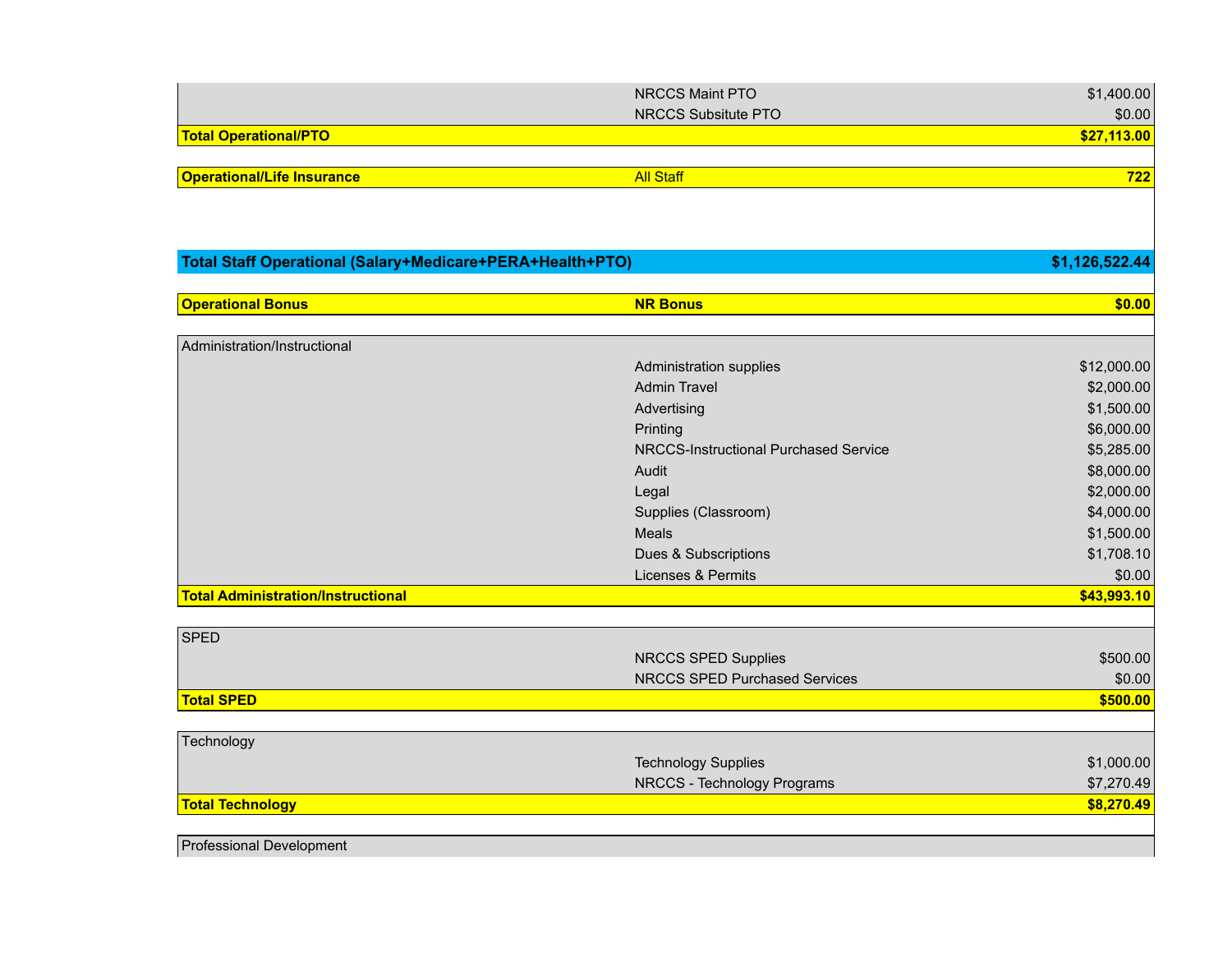|                                   | NRCCS Maint PTO     | \$1,400.00  |
|-----------------------------------|---------------------|-------------|
|                                   | NRCCS Subsitute PTO | \$0.00      |
| <b>Total Operational/PTO</b>      |                     | \$27,113.00 |
|                                   |                     |             |
| <b>Operational/Life Insurance</b> | <b>All Staff</b>    | 722         |

| Total Staff Operational (Salary+Medicare+PERA+Health+PTO) |                                       | \$1,126,522.44 |
|-----------------------------------------------------------|---------------------------------------|----------------|
|                                                           |                                       |                |
| <b>Operational Bonus</b>                                  | <b>NR Bonus</b>                       | \$0.00         |
|                                                           |                                       |                |
| Administration/Instructional                              |                                       |                |
|                                                           | Administration supplies               | \$12,000.00    |
|                                                           | <b>Admin Travel</b>                   | \$2,000.00     |
|                                                           | Advertising                           | \$1,500.00     |
|                                                           | Printing                              | \$6,000.00     |
|                                                           | NRCCS-Instructional Purchased Service | \$5,285.00     |
|                                                           | Audit                                 | \$8,000.00     |
|                                                           | Legal                                 | \$2,000.00     |
|                                                           | Supplies (Classroom)                  | \$4,000.00     |
|                                                           | Meals                                 | \$1,500.00     |
|                                                           | Dues & Subscriptions                  | \$1,708.10     |
|                                                           | Licenses & Permits                    | \$0.00         |
| <b>Total Administration/Instructional</b>                 |                                       | \$43,993.10    |
|                                                           |                                       |                |
| <b>SPED</b>                                               |                                       |                |
|                                                           | <b>NRCCS SPED Supplies</b>            | \$500.00       |
|                                                           | <b>NRCCS SPED Purchased Services</b>  | \$0.00         |
| <b>Total SPED</b>                                         |                                       | \$500.00       |

| Technology              |                             |            |
|-------------------------|-----------------------------|------------|
|                         | <b>Technology Supplies</b>  | \$1,000.00 |
|                         | NRCCS - Technology Programs | \$7,270.49 |
| <b>Total Technology</b> |                             | \$8,270.49 |
|                         |                             |            |

Professional Development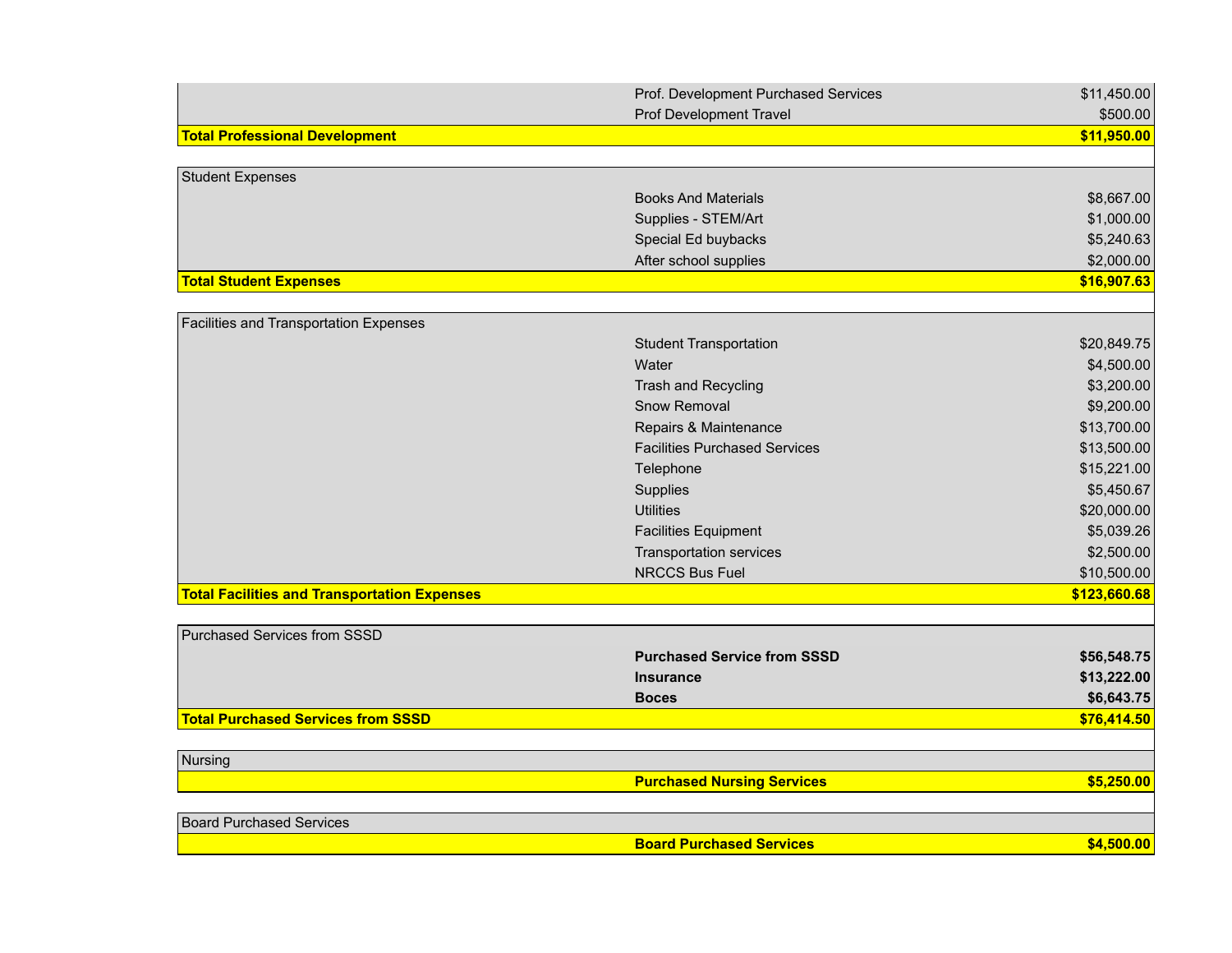|                                                     | Prof. Development Purchased Services | \$11,450.00  |
|-----------------------------------------------------|--------------------------------------|--------------|
|                                                     | <b>Prof Development Travel</b>       | \$500.00     |
| <b>Total Professional Development</b>               |                                      | \$11,950.00  |
|                                                     |                                      |              |
| Student Expenses                                    |                                      |              |
|                                                     | <b>Books And Materials</b>           | \$8,667.00   |
|                                                     | Supplies - STEM/Art                  | \$1,000.00   |
|                                                     | Special Ed buybacks                  | \$5,240.63   |
|                                                     | After school supplies                | \$2,000.00   |
| <b>Total Student Expenses</b>                       |                                      | \$16,907.63  |
|                                                     |                                      |              |
| <b>Facilities and Transportation Expenses</b>       |                                      |              |
|                                                     | <b>Student Transportation</b>        | \$20,849.75  |
|                                                     | Water                                | \$4,500.00   |
|                                                     | Trash and Recycling                  | \$3,200.00   |
|                                                     | Snow Removal                         | \$9,200.00   |
|                                                     | Repairs & Maintenance                | \$13,700.00  |
|                                                     | <b>Facilities Purchased Services</b> | \$13,500.00  |
|                                                     | Telephone                            | \$15,221.00  |
|                                                     | Supplies                             | \$5,450.67   |
|                                                     | <b>Utilities</b>                     | \$20,000.00  |
|                                                     | <b>Facilities Equipment</b>          | \$5,039.26   |
|                                                     | <b>Transportation services</b>       | \$2,500.00   |
|                                                     | <b>NRCCS Bus Fuel</b>                | \$10,500.00  |
| <b>Total Facilities and Transportation Expenses</b> |                                      | \$123,660.68 |
|                                                     |                                      |              |
| Purchased Services from SSSD                        |                                      |              |
|                                                     | <b>Purchased Service from SSSD</b>   | \$56,548.75  |
|                                                     | <b>Insurance</b>                     | \$13,222.00  |
|                                                     | <b>Boces</b>                         | \$6,643.75   |
| <b>Total Purchased Services from SSSD</b>           |                                      | \$76,414.50  |
|                                                     |                                      |              |
| Nursing                                             |                                      |              |
|                                                     | <b>Purchased Nursing Services</b>    | \$5,250.00   |
|                                                     |                                      |              |
| <b>Board Purchased Services</b>                     |                                      |              |
|                                                     | <b>Board Purchased Services</b>      | \$4,500.00   |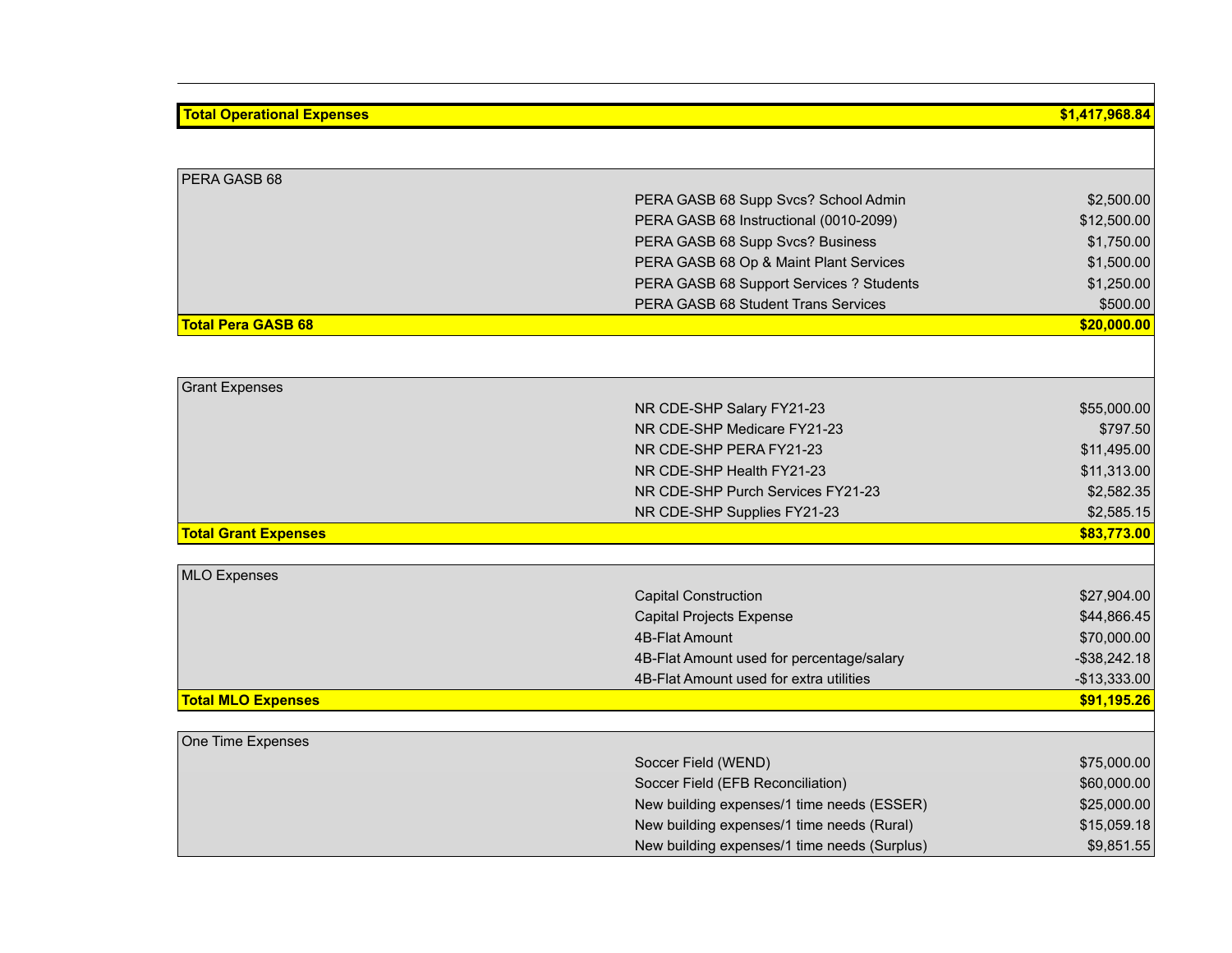## **Total Operational Expenses \$1,417,968.84** PERA GASB 68 PERA GASB 68 Supp Svcs? School Admin \$2,500.00 PERA GASB 68 Instructional (0010-2099) \$12,500.00 PERA GASB 68 Supp Svcs? Business \$1,750.00 PERA GASB 68 Op & Maint Plant Services \$1,500.00 PERA GASB 68 Support Services ? Students  $$1,250.00$ PERA GASB 68 Student Trans Services \$500.00 **Total Pera GASB 68 \$20,000.00** Grant Expenses NR CDE-SHP Salary FY21-23 \$55,000.00 NR CDE-SHP Medicare FY21-23 \$797.50 NR CDE-SHP PERA FY21-23 \$11,495.00 NR CDE-SHP Health FY21-23 \$11,313.00 NR CDE-SHP Purch Services FY21-23 \$2,582.35 NR CDE-SHP Supplies FY21-23 \$2,585.15 **Total Grant Expenses \$83,773.00** MLO Expenses Capital Construction  $$27,904.00$ Capital Projects Expense  $$44,866.45$ 4B-Flat Amount \$70,000.00 4B-Flat Amount used for percentage/salary  $-$ \$38,242.18 4B-Flat Amount used for extra utilities  $-$ \$13,333.00 **Total MLO Expenses \$91,195.26** One Time Expenses Soccer Field (WEND) \$75,000.00 Soccer Field (EFB Reconciliation) \$60,000.00 New building expenses/1 time needs (ESSER) \$25,000.00 New building expenses/1 time needs (Rural) \$15,059.18

New building expenses/1 time needs (Surplus)  $$9,851.55$